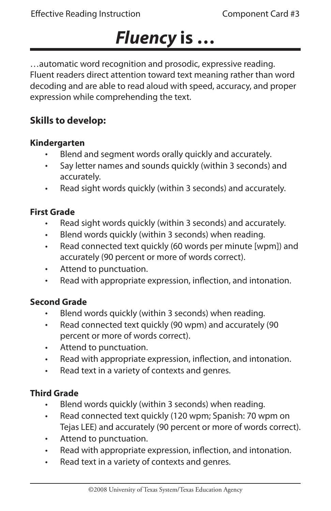# *Fluency* **is …**

…automatic word recognition and prosodic, expressive reading. Fluent readers direct attention toward text meaning rather than word decoding and are able to read aloud with speed, accuracy, and proper expression while comprehending the text.

### **Skills to develop:**

#### **Kindergarten**

- Blend and segment words orally quickly and accurately. •
- Say letter names and sounds quickly (within 3 seconds) and accurately. •
- Read sight words quickly (within 3 seconds) and accurately. •

### **First Grade**

- Read sight words quickly (within 3 seconds) and accurately. •
- Blend words quickly (within 3 seconds) when reading. •
- Read connected text quickly (60 words per minute [wpm]) and accurately (90 percent or more of words correct). •
- Attend to punctuation. •
- Read with appropriate expression, inflection, and intonation. •

### **Second Grade**

- Blend words quickly (within 3 seconds) when reading. •
- Read connected text quickly (90 wpm) and accurately (90 percent or more of words correct). •
- Attend to punctuation. •
- Read with appropriate expression, inflection, and intonation. •
- Read text in a variety of contexts and genres. •

#### **Third Grade**

- Blend words quickly (within 3 seconds) when reading. •
- Read connected text quickly (120 wpm; Spanish: 70 wpm on Tejas LEE) and accurately (90 percent or more of words correct). •
- Attend to punctuation. •
- Read with appropriate expression, inflection, and intonation. •
- Read text in a variety of contexts and genres. •